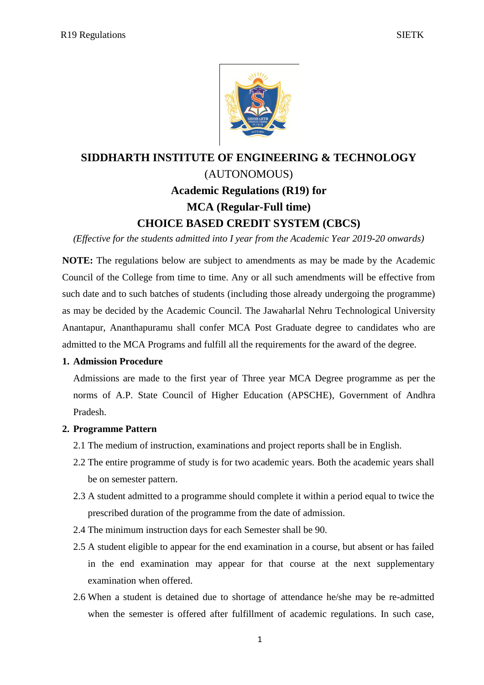

# **SIDDHARTH INSTITUTE OF ENGINEERING & TECHNOLOGY** (AUTONOMOUS) **Academic Regulations (R19) for MCA (Regular-Full time) CHOICE BASED CREDIT SYSTEM (CBCS)**

*(Effective for the students admitted into I year from the Academic Year 2019-20 onwards)*

**NOTE:** The regulations below are subject to amendments as may be made by the Academic Council of the College from time to time. Any or all such amendments will be effective from such date and to such batches of students (including those already undergoing the programme) as may be decided by the Academic Council. The Jawaharlal Nehru Technological University Anantapur, Ananthapuramu shall confer MCA Post Graduate degree to candidates who are admitted to the MCA Programs and fulfill all the requirements for the award of the degree.

## **1. Admission Procedure**

Admissions are made to the first year of Three year MCA Degree programme as per the norms of A.P. State Council of Higher Education (APSCHE), Government of Andhra Pradesh.

## **2. Programme Pattern**

- 2.1 The medium of instruction, examinations and project reports shall be in English.
- 2.2 The entire programme of study is for two academic years. Both the academic years shall be on semester pattern.
- 2.3 A student admitted to a programme should complete it within a period equal to twice the prescribed duration of the programme from the date of admission.
- 2.4 The minimum instruction days for each Semester shall be 90.
- 2.5 A student eligible to appear for the end examination in a course, but absent or has failed in the end examination may appear for that course at the next supplementary examination when offered.
- 2.6 When a student is detained due to shortage of attendance he/she may be re-admitted when the semester is offered after fulfillment of academic regulations. In such case,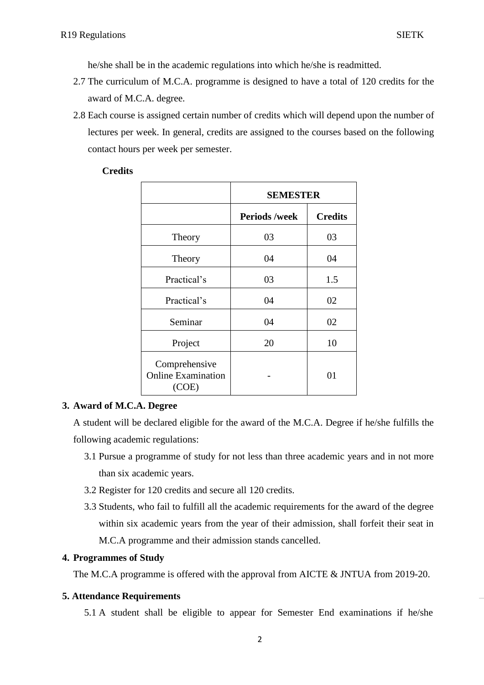he/she shall be in the academic regulations into which he/she is readmitted.

- 2.7 The curriculum of M.C.A. programme is designed to have a total of 120 credits for the award of M.C.A. degree.
- 2.8 Each course is assigned certain number of credits which will depend upon the number of lectures per week. In general, credits are assigned to the courses based on the following contact hours per week per semester.

## **Credits**

|                                                     | <b>SEMESTER</b>      |                |
|-----------------------------------------------------|----------------------|----------------|
|                                                     | <b>Periods /week</b> | <b>Credits</b> |
| Theory                                              | 03                   | 03             |
| Theory                                              | 04                   | 04             |
| Practical's                                         | 03                   | 1.5            |
| Practical's                                         | 04                   | 02             |
| Seminar                                             | 04                   | 02             |
| Project                                             | 20                   | 10             |
| Comprehensive<br><b>Online Examination</b><br>(COE) |                      | 01             |

## **3. Award of M.C.A. Degree**

A student will be declared eligible for the award of the M.C.A. Degree if he/she fulfills the following academic regulations:

- 3.1 Pursue a programme of study for not less than three academic years and in not more than six academic years.
- 3.2 Register for 120 credits and secure all 120 credits.
- 3.3 Students, who fail to fulfill all the academic requirements for the award of the degree within six academic years from the year of their admission, shall forfeit their seat in M.C.A programme and their admission stands cancelled.

## **4. Programmes of Study**

The M.C.A programme is offered with the approval from AICTE & JNTUA from 2019-20.

## **5. Attendance Requirements**

5.1 A student shall be eligible to appear for Semester End examinations if he/she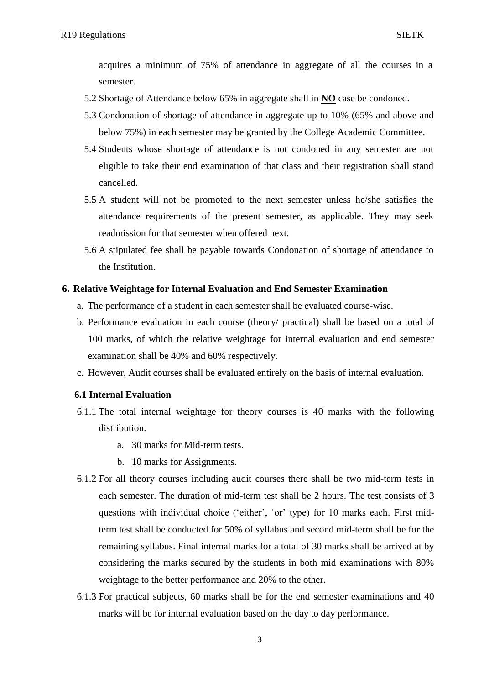acquires a minimum of 75% of attendance in aggregate of all the courses in a semester.

- 5.2 Shortage of Attendance below 65% in aggregate shall in **NO** case be condoned.
- 5.3 Condonation of shortage of attendance in aggregate up to 10% (65% and above and below 75%) in each semester may be granted by the College Academic Committee.
- 5.4 Students whose shortage of attendance is not condoned in any semester are not eligible to take their end examination of that class and their registration shall stand cancelled.
- 5.5 A student will not be promoted to the next semester unless he/she satisfies the attendance requirements of the present semester, as applicable. They may seek readmission for that semester when offered next.
- 5.6 A stipulated fee shall be payable towards Condonation of shortage of attendance to the Institution.

## **6. Relative Weightage for Internal Evaluation and End Semester Examination**

- a. The performance of a student in each semester shall be evaluated course-wise.
- b. Performance evaluation in each course (theory/ practical) shall be based on a total of 100 marks, of which the relative weightage for internal evaluation and end semester examination shall be 40% and 60% respectively.
- c. However, Audit courses shall be evaluated entirely on the basis of internal evaluation.

#### **6.1 Internal Evaluation**

- 6.1.1 The total internal weightage for theory courses is 40 marks with the following distribution.
	- a. 30 marks for Mid-term tests.
	- b. 10 marks for Assignments.
- 6.1.2 For all theory courses including audit courses there shall be two mid-term tests in each semester. The duration of mid-term test shall be 2 hours. The test consists of 3 questions with individual choice ('either', 'or' type) for 10 marks each. First midterm test shall be conducted for 50% of syllabus and second mid-term shall be for the remaining syllabus. Final internal marks for a total of 30 marks shall be arrived at by considering the marks secured by the students in both mid examinations with 80% weightage to the better performance and 20% to the other.
- 6.1.3 For practical subjects, 60 marks shall be for the end semester examinations and 40 marks will be for internal evaluation based on the day to day performance.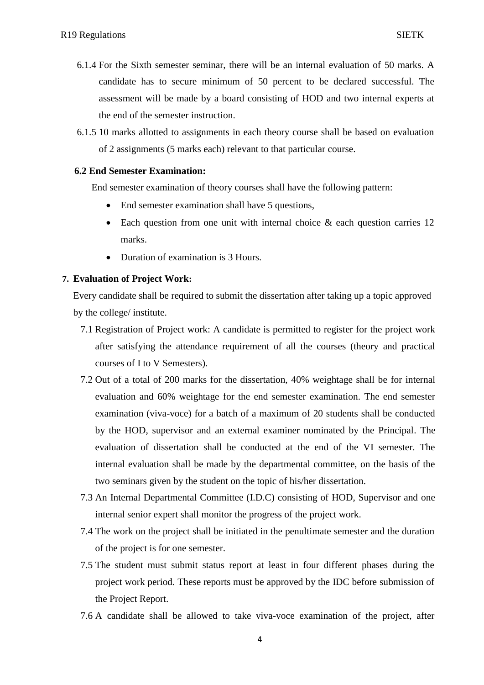- 6.1.4 For the Sixth semester seminar, there will be an internal evaluation of 50 marks. A candidate has to secure minimum of 50 percent to be declared successful. The assessment will be made by a board consisting of HOD and two internal experts at the end of the semester instruction.
- 6.1.5 10 marks allotted to assignments in each theory course shall be based on evaluation of 2 assignments (5 marks each) relevant to that particular course.

## **6.2 End Semester Examination:**

End semester examination of theory courses shall have the following pattern:

- End semester examination shall have 5 questions,
- Each question from one unit with internal choice & each question carries 12 marks.
- Duration of examination is 3 Hours.

#### **7. Evaluation of Project Work:**

Every candidate shall be required to submit the dissertation after taking up a topic approved by the college/ institute.

- 7.1 Registration of Project work: A candidate is permitted to register for the project work after satisfying the attendance requirement of all the courses (theory and practical courses of I to V Semesters).
- 7.2 Out of a total of 200 marks for the dissertation, 40% weightage shall be for internal evaluation and 60% weightage for the end semester examination. The end semester examination (viva-voce) for a batch of a maximum of 20 students shall be conducted by the HOD, supervisor and an external examiner nominated by the Principal. The evaluation of dissertation shall be conducted at the end of the VI semester. The internal evaluation shall be made by the departmental committee, on the basis of the two seminars given by the student on the topic of his/her dissertation.
- 7.3 An Internal Departmental Committee (I.D.C) consisting of HOD, Supervisor and one internal senior expert shall monitor the progress of the project work.
- 7.4 The work on the project shall be initiated in the penultimate semester and the duration of the project is for one semester.
- 7.5 The student must submit status report at least in four different phases during the project work period. These reports must be approved by the IDC before submission of the Project Report.
- 7.6 A candidate shall be allowed to take viva-voce examination of the project, after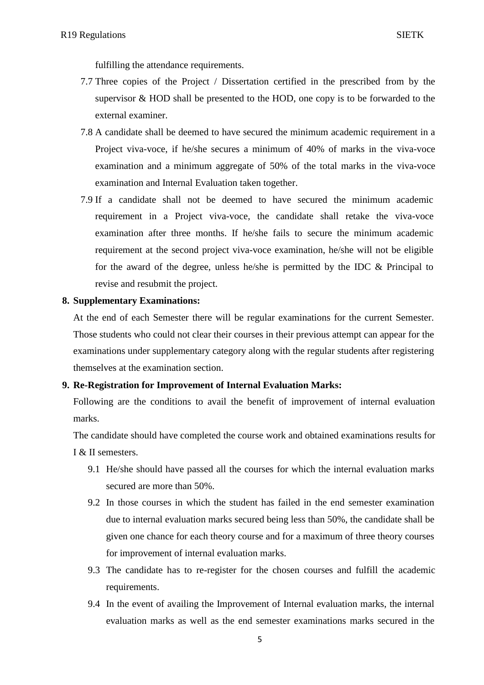fulfilling the attendance requirements.

- 7.7 Three copies of the Project / Dissertation certified in the prescribed from by the supervisor & HOD shall be presented to the HOD, one copy is to be forwarded to the external examiner.
- 7.8 A candidate shall be deemed to have secured the minimum academic requirement in a Project viva-voce, if he/she secures a minimum of 40% of marks in the viva-voce examination and a minimum aggregate of 50% of the total marks in the viva-voce examination and Internal Evaluation taken together.
- 7.9 If a candidate shall not be deemed to have secured the minimum academic requirement in a Project viva-voce, the candidate shall retake the viva-voce examination after three months. If he/she fails to secure the minimum academic requirement at the second project viva-voce examination, he/she will not be eligible for the award of the degree, unless he/she is permitted by the IDC & Principal to revise and resubmit the project.

## **8. Supplementary Examinations:**

At the end of each Semester there will be regular examinations for the current Semester. Those students who could not clear their courses in their previous attempt can appear for the examinations under supplementary category along with the regular students after registering themselves at the examination section.

## **9. Re-Registration for Improvement of Internal Evaluation Marks:**

Following are the conditions to avail the benefit of improvement of internal evaluation marks.

The candidate should have completed the course work and obtained examinations results for I & II semesters.

- 9.1 He/she should have passed all the courses for which the internal evaluation marks secured are more than 50%.
- 9.2 In those courses in which the student has failed in the end semester examination due to internal evaluation marks secured being less than 50%, the candidate shall be given one chance for each theory course and for a maximum of three theory courses for improvement of internal evaluation marks.
- 9.3 The candidate has to re-register for the chosen courses and fulfill the academic requirements.
- 9.4 In the event of availing the Improvement of Internal evaluation marks, the internal evaluation marks as well as the end semester examinations marks secured in the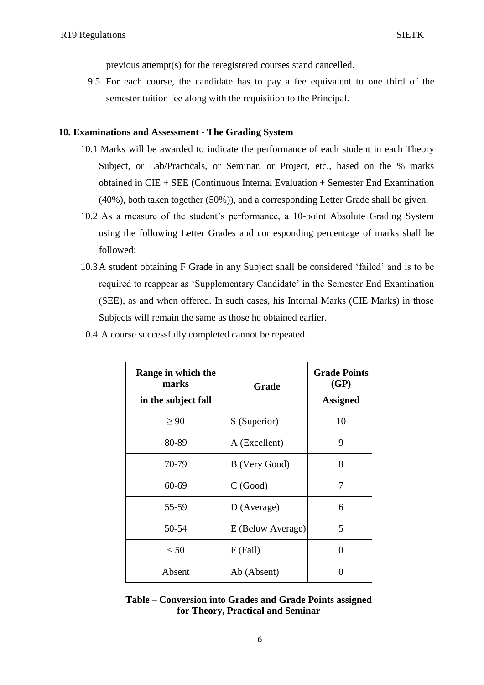previous attempt(s) for the reregistered courses stand cancelled.

9.5 For each course, the candidate has to pay a fee equivalent to one third of the semester tuition fee along with the requisition to the Principal.

#### **10. Examinations and Assessment - The Grading System**

- 10.1 Marks will be awarded to indicate the performance of each student in each Theory Subject, or Lab/Practicals, or Seminar, or Project, etc., based on the % marks obtained in CIE + SEE (Continuous Internal Evaluation + Semester End Examination (40%), both taken together (50%)), and a corresponding Letter Grade shall be given.
- 10.2 As a measure of the student"s performance, a 10-point Absolute Grading System using the following Letter Grades and corresponding percentage of marks shall be followed:
- 10.3A student obtaining F Grade in any Subject shall be considered "failed" and is to be required to reappear as "Supplementary Candidate" in the Semester End Examination (SEE), as and when offered. In such cases, his Internal Marks (CIE Marks) in those Subjects will remain the same as those he obtained earlier.

| 10.4 A course successfully completed cannot be repeated. |
|----------------------------------------------------------|
|----------------------------------------------------------|

| Range in which the<br>marks<br>in the subject fall | Grade             | <b>Grade Points</b><br>(GP)<br><b>Assigned</b> |
|----------------------------------------------------|-------------------|------------------------------------------------|
| > 90                                               | S (Superior)      | 10                                             |
| 80-89                                              | A (Excellent)     | 9                                              |
| 70-79                                              | B (Very Good)     | 8                                              |
| 60-69                                              | C(Good)           | 7                                              |
| 55-59                                              | D (Average)       | 6                                              |
| 50-54                                              | E (Below Average) | 5                                              |
| < 50                                               | $F$ (Fail)        | 0                                              |
| Absent                                             | Ab (Absent)       |                                                |

**Table – Conversion into Grades and Grade Points assigned for Theory, Practical and Seminar**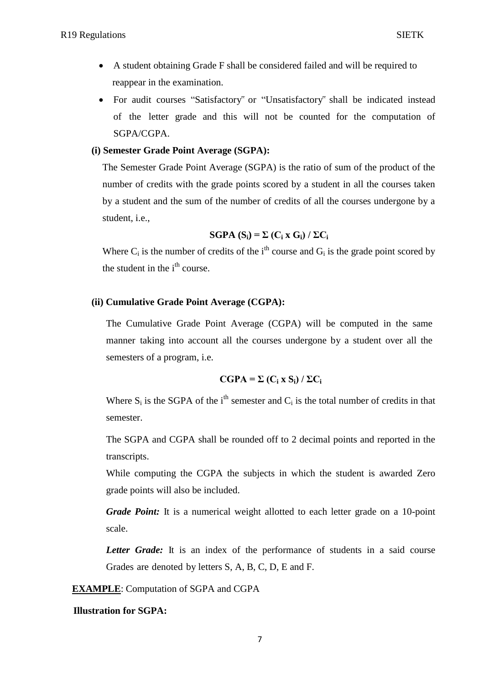- A student obtaining Grade F shall be considered failed and will be required to reappear in the examination.
- For audit courses "Satisfactory" or "Unsatisfactory" shall be indicated instead of the letter grade and this will not be counted for the computation of SGPA/CGPA.

## **(i) Semester Grade Point Average (SGPA):**

The Semester Grade Point Average (SGPA) is the ratio of sum of the product of the number of credits with the grade points scored by a student in all the courses taken by a student and the sum of the number of credits of all the courses undergone by a student, i.e.,

## $SGPA(S_i) = \sum (C_i \times G_i) / \sum C_i$

Where  $C_i$  is the number of credits of the i<sup>th</sup> course and  $G_i$  is the grade point scored by the student in the  $i<sup>th</sup>$  course.

## **(ii) Cumulative Grade Point Average (CGPA):**

The Cumulative Grade Point Average (CGPA) will be computed in the same manner taking into account all the courses undergone by a student over all the semesters of a program, i.e.

## $CGPA = \sum (C_i \times S_i) / \sum C_i$

Where  $S_i$  is the SGPA of the i<sup>th</sup> semester and  $C_i$  is the total number of credits in that semester.

The SGPA and CGPA shall be rounded off to 2 decimal points and reported in the transcripts.

While computing the CGPA the subjects in which the student is awarded Zero grade points will also be included.

*Grade Point:* It is a numerical weight allotted to each letter grade on a 10-point scale.

*Letter Grade:* It is an index of the performance of students in a said course Grades are denoted by letters S, A, B, C, D, E and F.

**EXAMPLE**: Computation of SGPA and CGPA

## **Illustration for SGPA:**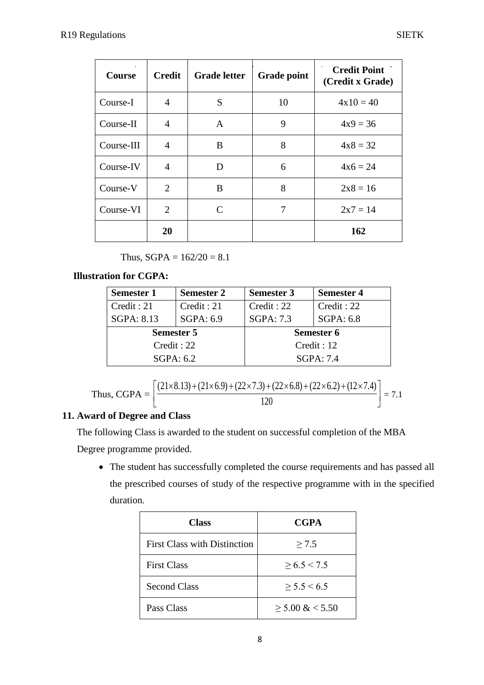| <b>Course</b> | <b>Credit</b>  | <b>Grade letter</b> | <b>Grade point</b> | <b>Credit Point</b><br>(Credit x Grade) |
|---------------|----------------|---------------------|--------------------|-----------------------------------------|
| Course-I      | 4              | S                   | 10                 | $4x10 = 40$                             |
| Course-II     | 4              | A                   | 9                  | $4x9 = 36$                              |
| Course-III    | $\overline{A}$ | B                   | 8                  | $4x8 = 32$                              |
| Course-IV     | 4              | D                   | 6                  | $4x6 = 24$                              |
| Course-V      | 2              | B                   | 8                  | $2x8 = 16$                              |
| Course-VI     | $\overline{2}$ | C                   | 7                  | $2x7 = 14$                              |
|               | 20             |                     |                    | 162                                     |

Thus,  $SGPA = 162/20 = 8.1$ 

## **Illustration for CGPA:**

| <b>Semester 1</b> | <b>Semester 2</b> | <b>Semester 3</b> | <b>Semester 4</b> |
|-------------------|-------------------|-------------------|-------------------|
| Credit: 21        | Credit: 21        | Credit: 22        | Credit: 22        |
| SGPA: 8.13        | SGPA: 6.9         | <b>SGPA: 7.3</b>  | SGPA: 6.8         |
| <b>Semester 5</b> |                   |                   | Semester 6        |
| Credit: 22        |                   |                   | Credit : 12       |
| SGPA: 6.2         |                   |                   | SGPA: 7.4         |

Thus, CGPA = 
$$
\left[ \frac{(21 \times 8.13) + (21 \times 6.9) + (22 \times 7.3) + (22 \times 6.8) + (22 \times 6.2) + (12 \times 7.4)}{120} \right] = 7.1
$$

## **11. Award of Degree and Class**

The following Class is awarded to the student on successful completion of the MBA Degree programme provided.

 The student has successfully completed the course requirements and has passed all the prescribed courses of study of the respective programme with in the specified duration.

| <b>Class</b>                        | <b>CGPA</b>         |
|-------------------------------------|---------------------|
| <b>First Class with Distinction</b> | $\geq 7.5$          |
| <b>First Class</b>                  | $\geq 6.5 \leq 7.5$ |
| <b>Second Class</b>                 | > 5.5 < 6.5         |
| Pass Class                          | $>$ 5.00 & $<$ 5.50 |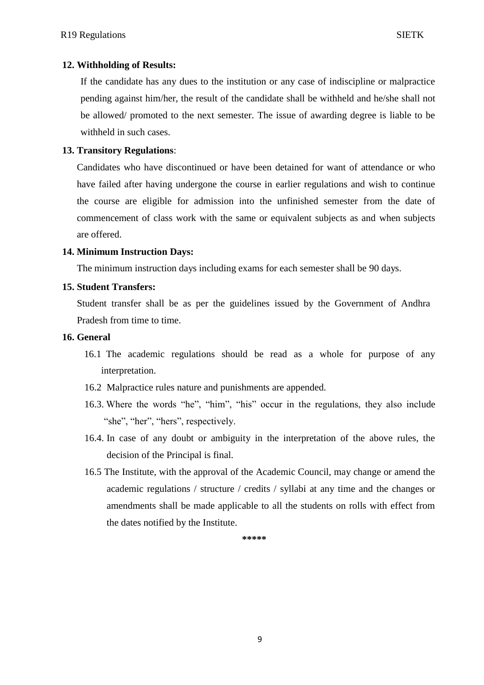## **12. Withholding of Results:**

If the candidate has any dues to the institution or any case of indiscipline or malpractice pending against him/her, the result of the candidate shall be withheld and he/she shall not be allowed/ promoted to the next semester. The issue of awarding degree is liable to be withheld in such cases.

#### **13. Transitory Regulations**:

Candidates who have discontinued or have been detained for want of attendance or who have failed after having undergone the course in earlier regulations and wish to continue the course are eligible for admission into the unfinished semester from the date of commencement of class work with the same or equivalent subjects as and when subjects are offered.

#### **14. Minimum Instruction Days:**

The minimum instruction days including exams for each semester shall be 90 days.

#### **15. Student Transfers:**

Student transfer shall be as per the guidelines issued by the Government of Andhra Pradesh from time to time.

#### **16. General**

- 16.1 The academic regulations should be read as a whole for purpose of any interpretation.
- 16.2 Malpractice rules nature and punishments are appended.
- 16.3. Where the words "he", "him", "his" occur in the regulations, they also include "she", "her", "hers", respectively.
- 16.4. In case of any doubt or ambiguity in the interpretation of the above rules, the decision of the Principal is final.
- 16.5 The Institute, with the approval of the Academic Council, may change or amend the academic regulations / structure / credits / syllabi at any time and the changes or amendments shall be made applicable to all the students on rolls with effect from the dates notified by the Institute.

**\*\*\*\*\***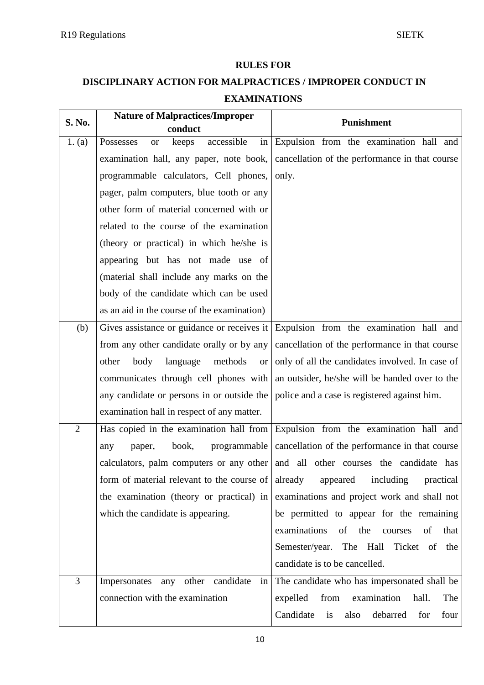## **RULES FOR**

## **DISCIPLINARY ACTION FOR MALPRACTICES / IMPROPER CONDUCT IN EXAMINATIONS**

| S. No.         | <b>Nature of Malpractices/Improper</b><br>conduct   | <b>Punishment</b>                                                                |
|----------------|-----------------------------------------------------|----------------------------------------------------------------------------------|
| 1. (a)         | accessible<br>in<br>Possesses<br>keeps<br><b>or</b> | Expulsion from the examination hall and                                          |
|                | examination hall, any paper, note book,             | cancellation of the performance in that course                                   |
|                | programmable calculators, Cell phones,              | only.                                                                            |
|                | pager, palm computers, blue tooth or any            |                                                                                  |
|                | other form of material concerned with or            |                                                                                  |
|                | related to the course of the examination            |                                                                                  |
|                | (theory or practical) in which he/she is            |                                                                                  |
|                | appearing but has not made use of                   |                                                                                  |
|                | (material shall include any marks on the            |                                                                                  |
|                | body of the candidate which can be used             |                                                                                  |
|                | as an aid in the course of the examination)         |                                                                                  |
| (b)            | Gives assistance or guidance or receives it         | Expulsion from the examination hall and                                          |
|                | from any other candidate orally or by any           | cancellation of the performance in that course                                   |
|                | language<br>other<br>body<br>methods<br><b>or</b>   | only of all the candidates involved. In case of                                  |
|                | communicates through cell phones with               | an outsider, he/she will be handed over to the                                   |
|                | any candidate or persons in or outside the          | police and a case is registered against him.                                     |
|                | examination hall in respect of any matter.          |                                                                                  |
| $\overline{2}$ | Has copied in the examination hall from             | Expulsion from the examination hall and                                          |
|                | book,<br>programmable<br>paper,<br>any              | cancellation of the performance in that course                                   |
|                |                                                     | calculators, palm computers or any other and all other courses the candidate has |
|                | form of material relevant to the course of already  | appeared<br>including<br>practical                                               |
|                | the examination (theory or practical) in            | examinations and project work and shall not                                      |
|                | which the candidate is appearing.                   | be permitted to appear for the remaining                                         |
|                |                                                     | examinations<br>the<br>of<br>of<br>courses<br>that                               |
|                |                                                     | Semester/year. The Hall Ticket of<br>the                                         |
|                |                                                     | candidate is to be cancelled.                                                    |
| $\overline{3}$ | Impersonates any other candidate<br>in              | The candidate who has impersonated shall be                                      |
|                | connection with the examination                     | expelled<br>from<br>examination<br>hall.<br>The                                  |
|                |                                                     | Candidate<br>also<br>debarred<br>is<br>for<br>four                               |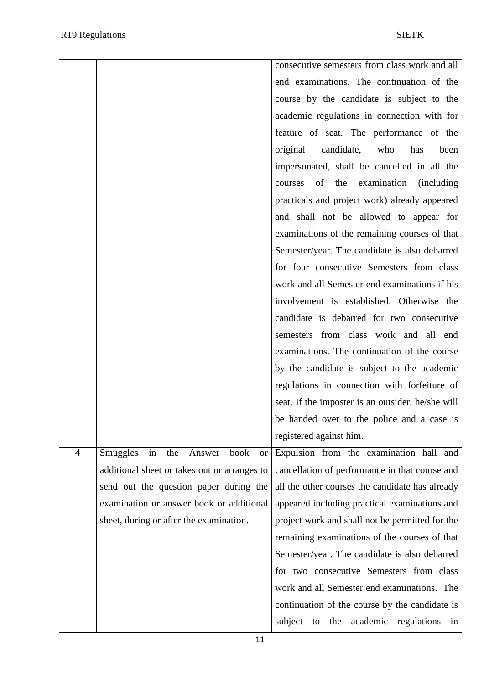|                |                                                | consecutive semesters from class work and all      |
|----------------|------------------------------------------------|----------------------------------------------------|
|                |                                                | end examinations. The continuation of the          |
|                |                                                | course by the candidate is subject to the          |
|                |                                                | academic regulations in connection with for        |
|                |                                                | feature of seat. The performance of the            |
|                |                                                | original<br>candidate,<br>who<br>has<br>been       |
|                |                                                | impersonated, shall be cancelled in all the        |
|                |                                                | of<br>the<br>examination<br>(including)<br>courses |
|                |                                                | practicals and project work) already appeared      |
|                |                                                | and shall not be allowed to appear for             |
|                |                                                | examinations of the remaining courses of that      |
|                |                                                | Semester/year. The candidate is also debarred      |
|                |                                                | for four consecutive Semesters from class          |
|                |                                                | work and all Semester end examinations if his      |
|                |                                                | involvement is established. Otherwise the          |
|                |                                                | candidate is debarred for two consecutive          |
|                |                                                | semesters from class work and all end              |
|                |                                                | examinations. The continuation of the course       |
|                |                                                | by the candidate is subject to the academic        |
|                |                                                | regulations in connection with forfeiture of       |
|                |                                                | seat. If the imposter is an outsider, he/she will  |
|                |                                                | be handed over to the police and a case is         |
|                |                                                | registered against him.                            |
| $\overline{4}$ | in the Answer<br>Smuggles<br>book<br><b>or</b> | Expulsion from the examination hall and            |
|                | additional sheet or takes out or arranges to   | cancellation of performance in that course and     |
|                | send out the question paper during the         | all the other courses the candidate has already    |
|                | examination or answer book or additional       | appeared including practical examinations and      |
|                | sheet, during or after the examination.        | project work and shall not be permitted for the    |
|                |                                                | remaining examinations of the courses of that      |
|                |                                                | Semester/year. The candidate is also debarred      |
|                |                                                | for two consecutive Semesters from class           |
|                |                                                | work and all Semester end examinations. The        |
|                |                                                | continuation of the course by the candidate is     |
|                |                                                | subject<br>academic regulations<br>to<br>the<br>in |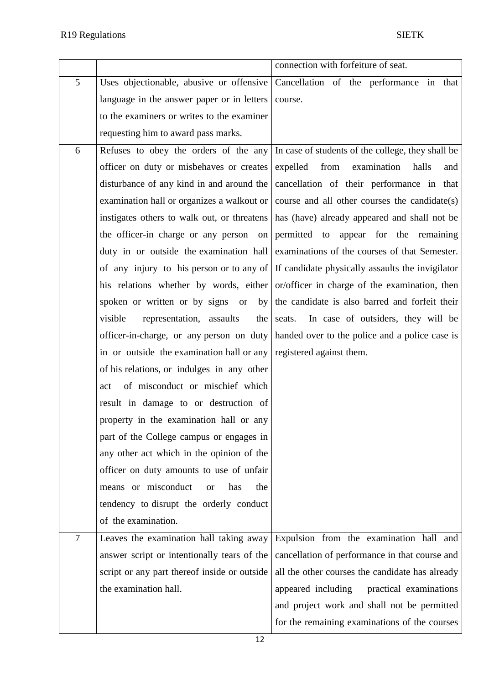|                |                                                                    | connection with forfeiture of seat.                                                       |
|----------------|--------------------------------------------------------------------|-------------------------------------------------------------------------------------------|
| 5              | Uses objectionable, abusive or offensive                           | Cancellation of the performance in that                                                   |
|                | language in the answer paper or in letters                         | course.                                                                                   |
|                | to the examiners or writes to the examiner                         |                                                                                           |
|                | requesting him to award pass marks.                                |                                                                                           |
| 6              | Refuses to obey the orders of the any                              | In case of students of the college, they shall be                                         |
|                | officer on duty or misbehaves or creates                           | from examination<br>expelled<br>halls<br>and                                              |
|                | disturbance of any kind in and around the                          | cancellation of their performance in that                                                 |
|                | examination hall or organizes a walkout or                         | course and all other courses the candidate(s)                                             |
|                | instigates others to walk out, or threatens                        | has (have) already appeared and shall not be                                              |
|                | the officer-in charge or any person<br>on                          | permitted to appear for the remaining                                                     |
|                | duty in or outside the examination hall                            | examinations of the courses of that Semester.                                             |
|                |                                                                    | of any injury to his person or to any of If candidate physically assaults the invigilator |
|                |                                                                    | his relations whether by words, either or/officer in charge of the examination, then      |
|                | spoken or written or by signs or<br>by <sub>l</sub>                | the candidate is also barred and forfeit their                                            |
|                | visible<br>representation, assaults<br>the                         | seats.<br>In case of outsiders, they will be                                              |
|                | officer-in-charge, or any person on duty                           | handed over to the police and a police case is                                            |
|                | in or outside the examination hall or any registered against them. |                                                                                           |
|                | of his relations, or indulges in any other                         |                                                                                           |
|                | of misconduct or mischief which<br>act                             |                                                                                           |
|                | result in damage to or destruction of                              |                                                                                           |
|                | property in the examination hall or any                            |                                                                                           |
|                | part of the College campus or engages in                           |                                                                                           |
|                | any other act which in the opinion of the                          |                                                                                           |
|                | officer on duty amounts to use of unfair                           |                                                                                           |
|                | means or misconduct<br>has<br>the<br><b>or</b>                     |                                                                                           |
|                | tendency to disrupt the orderly conduct                            |                                                                                           |
|                | of the examination.                                                |                                                                                           |
| $\overline{7}$ | Leaves the examination hall taking away                            | Expulsion from the examination hall and                                                   |
|                | answer script or intentionally tears of the                        | cancellation of performance in that course and                                            |
|                | script or any part thereof inside or outside                       | all the other courses the candidate has already                                           |
|                | the examination hall.                                              | appeared including<br>practical examinations                                              |
|                |                                                                    | and project work and shall not be permitted                                               |
|                |                                                                    | for the remaining examinations of the courses                                             |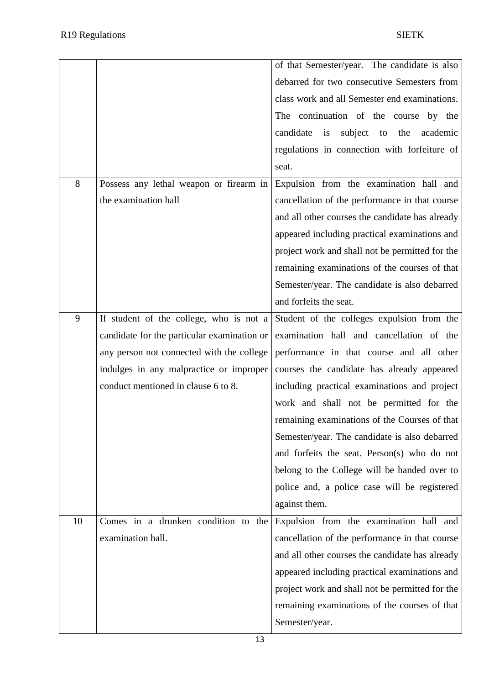|    |                                             | of that Semester/year. The candidate is also    |
|----|---------------------------------------------|-------------------------------------------------|
|    |                                             | debarred for two consecutive Semesters from     |
|    |                                             | class work and all Semester end examinations.   |
|    |                                             | The continuation of the course by the           |
|    |                                             | candidate is<br>subject to<br>the<br>academic   |
|    |                                             | regulations in connection with forfeiture of    |
|    |                                             | seat.                                           |
| 8  | Possess any lethal weapon or firearm in     | Expulsion from the examination hall and         |
|    | the examination hall                        | cancellation of the performance in that course  |
|    |                                             | and all other courses the candidate has already |
|    |                                             | appeared including practical examinations and   |
|    |                                             | project work and shall not be permitted for the |
|    |                                             | remaining examinations of the courses of that   |
|    |                                             | Semester/year. The candidate is also debarred   |
|    |                                             | and forfeits the seat.                          |
| 9  | If student of the college, who is not a     | Student of the colleges expulsion from the      |
|    | candidate for the particular examination or | examination hall and cancellation of the        |
|    | any person not connected with the college   | performance in that course and all other        |
|    | indulges in any malpractice or improper     | courses the candidate has already appeared      |
|    | conduct mentioned in clause 6 to 8.         | including practical examinations and project    |
|    |                                             | work and shall not be permitted for the         |
|    |                                             | remaining examinations of the Courses of that   |
|    |                                             | Semester/year. The candidate is also debarred   |
|    |                                             | and forfeits the seat. Person(s) who do not     |
|    |                                             | belong to the College will be handed over to    |
|    |                                             | police and, a police case will be registered    |
|    |                                             | against them.                                   |
| 10 | Comes in a drunken condition to the         | Expulsion from the examination hall and         |
|    | examination hall.                           | cancellation of the performance in that course  |
|    |                                             | and all other courses the candidate has already |
|    |                                             | appeared including practical examinations and   |
|    |                                             | project work and shall not be permitted for the |
|    |                                             | remaining examinations of the courses of that   |
|    |                                             | Semester/year.                                  |